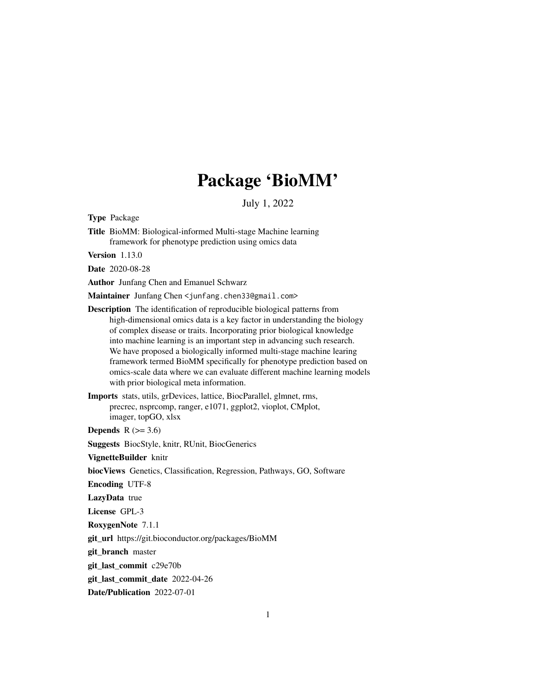# Package 'BioMM'

July 1, 2022

<span id="page-0-0"></span>Type Package

Title BioMM: Biological-informed Multi-stage Machine learning framework for phenotype prediction using omics data

Version 1.13.0

Date 2020-08-28

Author Junfang Chen and Emanuel Schwarz

Maintainer Junfang Chen <junfang.chen33@gmail.com>

- Description The identification of reproducible biological patterns from high-dimensional omics data is a key factor in understanding the biology of complex disease or traits. Incorporating prior biological knowledge into machine learning is an important step in advancing such research. We have proposed a biologically informed multi-stage machine learing framework termed BioMM specifically for phenotype prediction based on omics-scale data where we can evaluate different machine learning models with prior biological meta information.
- Imports stats, utils, grDevices, lattice, BiocParallel, glmnet, rms, precrec, nsprcomp, ranger, e1071, ggplot2, vioplot, CMplot, imager, topGO, xlsx

Depends  $R$  ( $>= 3.6$ )

Suggests BiocStyle, knitr, RUnit, BiocGenerics

VignetteBuilder knitr

biocViews Genetics, Classification, Regression, Pathways, GO, Software

Encoding UTF-8

LazyData true

License GPL-3

RoxygenNote 7.1.1

git\_url https://git.bioconductor.org/packages/BioMM

git\_branch master

git\_last\_commit c29e70b

git\_last\_commit\_date 2022-04-26

Date/Publication 2022-07-01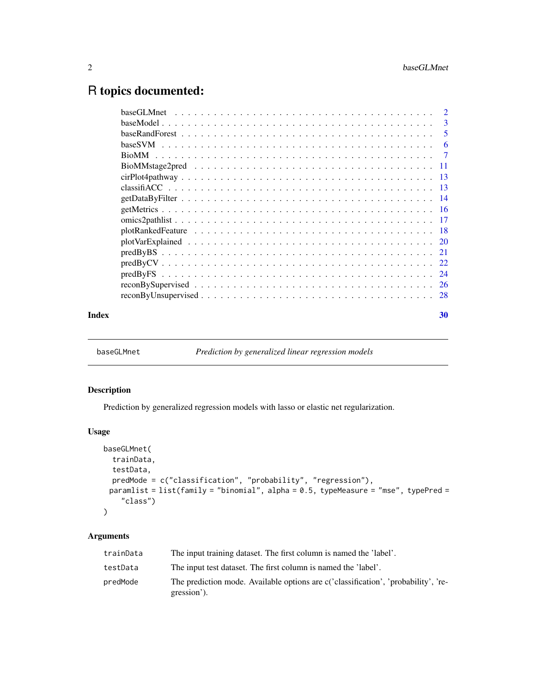# <span id="page-1-0"></span>R topics documented:

|       |                                                                                                                     | <sup>2</sup>   |
|-------|---------------------------------------------------------------------------------------------------------------------|----------------|
|       |                                                                                                                     | 3              |
|       |                                                                                                                     | 5              |
|       |                                                                                                                     | 6              |
|       |                                                                                                                     | $\overline{7}$ |
|       |                                                                                                                     |                |
|       |                                                                                                                     |                |
|       |                                                                                                                     |                |
|       |                                                                                                                     |                |
|       |                                                                                                                     |                |
|       |                                                                                                                     |                |
|       |                                                                                                                     |                |
|       |                                                                                                                     |                |
|       |                                                                                                                     |                |
|       |                                                                                                                     |                |
|       |                                                                                                                     |                |
|       |                                                                                                                     |                |
|       | $reconByUnsupervised \ldots \ldots \ldots \ldots \ldots \ldots \ldots \ldots \ldots \ldots \ldots \ldots \ldots 28$ |                |
| Index |                                                                                                                     | 30             |

baseGLMnet *Prediction by generalized linear regression models*

# Description

Prediction by generalized regression models with lasso or elastic net regularization.

# Usage

```
baseGLMnet(
  trainData,
  testData,
  predMode = c("classification", "probability", "regression"),
 paramlist = list(family = "binomial", alpha = 0.5, typeMeasure = "mse", typePred =
    "class")
)
```

| trainData | The input training dataset. The first column is named the 'label'.                                |
|-----------|---------------------------------------------------------------------------------------------------|
| testData  | The input test dataset. The first column is named the 'label'.                                    |
| predMode  | The prediction mode. Available options are c('classification', 'probability', 're-<br>gression'). |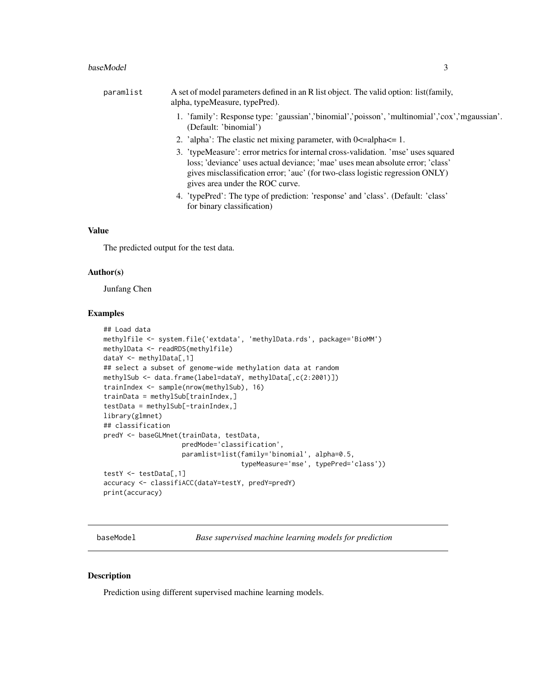<span id="page-2-0"></span>

| paramlist | A set of model parameters defined in an R list object. The valid option: list (family,<br>alpha, typeMeasure, typePred).                                                                                                                                                                |
|-----------|-----------------------------------------------------------------------------------------------------------------------------------------------------------------------------------------------------------------------------------------------------------------------------------------|
|           | 1. 'family': Response type: 'gaussian','binomial','poisson', 'multinomial','cox','mgaussian'.<br>(Default: 'binomial')                                                                                                                                                                  |
|           | 2. 'alpha': The elastic net mixing parameter, with $0 \leq$ =alpha $\leq$ = 1.                                                                                                                                                                                                          |
|           | 3. 'typeMeasure': error metrics for internal cross-validation. 'mse' uses squared<br>loss; 'deviance' uses actual deviance; 'mae' uses mean absolute error; 'class'<br>gives misclassification error; 'auc' (for two-class logistic regression ONLY)<br>gives area under the ROC curve. |
|           | 4. 'typePred': The type of prediction: 'response' and 'class'. (Default: 'class'<br>for binary classification)                                                                                                                                                                          |
|           |                                                                                                                                                                                                                                                                                         |

# Value

The predicted output for the test data.

#### Author(s)

Junfang Chen

#### Examples

```
## Load data
methylfile <- system.file('extdata', 'methylData.rds', package='BioMM')
methylData <- readRDS(methylfile)
dataY <- methylData[,1]
## select a subset of genome-wide methylation data at random
methylSub <- data.frame(label=dataY, methylData[,c(2:2001)])
trainIndex <- sample(nrow(methylSub), 16)
trainData = methylSub[trainIndex,]
testData = methylSub[-trainIndex,]
library(glmnet)
## classification
predY <- baseGLMnet(trainData, testData,
                    predMode='classification',
                    paramlist=list(family='binomial', alpha=0.5,
                                   typeMeasure='mse', typePred='class'))
testY <- testData[,1]
accuracy <- classifiACC(dataY=testY, predY=predY)
print(accuracy)
```
baseModel *Base supervised machine learning models for prediction*

#### Description

Prediction using different supervised machine learning models.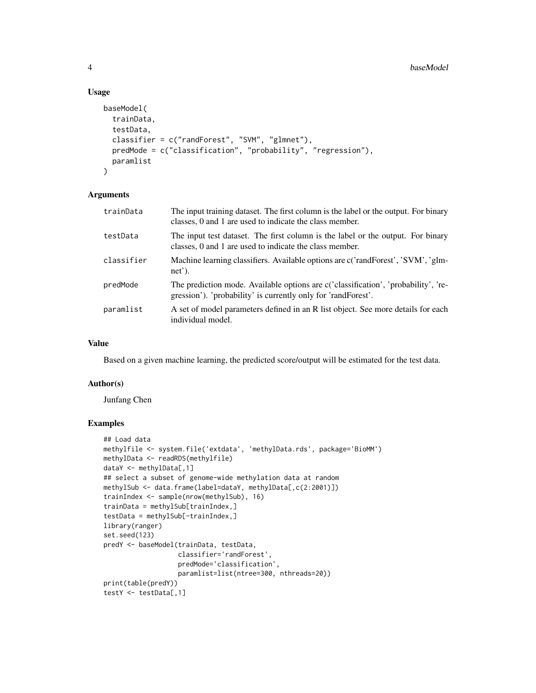#### Usage

```
baseModel(
  trainData,
  testData,
  classifier = c("randForest", "SVM", "glmnet"),
 predMode = c("classification", "probability", "regression"),
 paramlist
)
```
# Arguments

| trainData  | The input training dataset. The first column is the label or the output. For binary<br>classes, 0 and 1 are used to indicate the class member.      |
|------------|-----------------------------------------------------------------------------------------------------------------------------------------------------|
| testData   | The input test dataset. The first column is the label or the output. For binary<br>classes, 0 and 1 are used to indicate the class member.          |
| classifier | Machine learning classifiers. Available options are c('randForest', 'SVM', 'glm-<br>$net$ ).                                                        |
| predMode   | The prediction mode. Available options are c('classification', 'probability', 're-<br>gression'). 'probability' is currently only for 'randForest'. |
| paramlist  | A set of model parameters defined in an R list object. See more details for each<br>individual model.                                               |

#### Value

Based on a given machine learning, the predicted score/output will be estimated for the test data.

#### Author(s)

Junfang Chen

```
## Load data
methylfile <- system.file('extdata', 'methylData.rds', package='BioMM')
methylData <- readRDS(methylfile)
dataY <- methylData[,1]
## select a subset of genome-wide methylation data at random
methylSub <- data.frame(label=dataY, methylData[,c(2:2001)])
trainIndex <- sample(nrow(methylSub), 16)
trainData = methylSub[trainIndex,]
testData = methylSub[-trainIndex,]
library(ranger)
set.seed(123)
predY <- baseModel(trainData, testData,
                   classifier='randForest',
                   predMode='classification',
                   paramlist=list(ntree=300, nthreads=20))
print(table(predY))
testY <- testData[,1]
```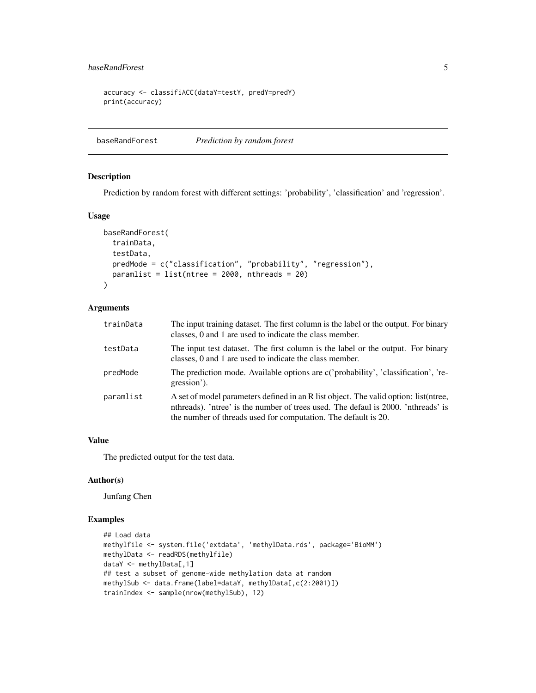# <span id="page-4-0"></span>baseRandForest 5

```
accuracy <- classifiACC(dataY=testY, predY=predY)
print(accuracy)
```
baseRandForest *Prediction by random forest*

# Description

Prediction by random forest with different settings: 'probability', 'classification' and 'regression'.

#### Usage

```
baseRandForest(
  trainData,
  testData,
 predMode = c("classification", "probability", "regression"),
 paramlist = list(ntree = 2000, nthreads = 20)
)
```
# Arguments

| trainData | The input training dataset. The first column is the label or the output. For binary<br>classes, 0 and 1 are used to indicate the class member.                                                                                               |  |
|-----------|----------------------------------------------------------------------------------------------------------------------------------------------------------------------------------------------------------------------------------------------|--|
| testData  | The input test dataset. The first column is the label or the output. For binary<br>classes, 0 and 1 are used to indicate the class member.                                                                                                   |  |
| predMode  | The prediction mode. Available options are c('probability', 'classification', 're-<br>gression').                                                                                                                                            |  |
| paramlist | A set of model parameters defined in an R list object. The valid option: list (ntree,<br>nthreads). 'ntree' is the number of trees used. The defaul is 2000. 'nthreads' is<br>the number of threads used for computation. The default is 20. |  |

#### Value

The predicted output for the test data.

## Author(s)

Junfang Chen

```
## Load data
methylfile <- system.file('extdata', 'methylData.rds', package='BioMM')
methylData <- readRDS(methylfile)
dataY <- methylData[,1]
## test a subset of genome-wide methylation data at random
methylSub <- data.frame(label=dataY, methylData[,c(2:2001)])
trainIndex <- sample(nrow(methylSub), 12)
```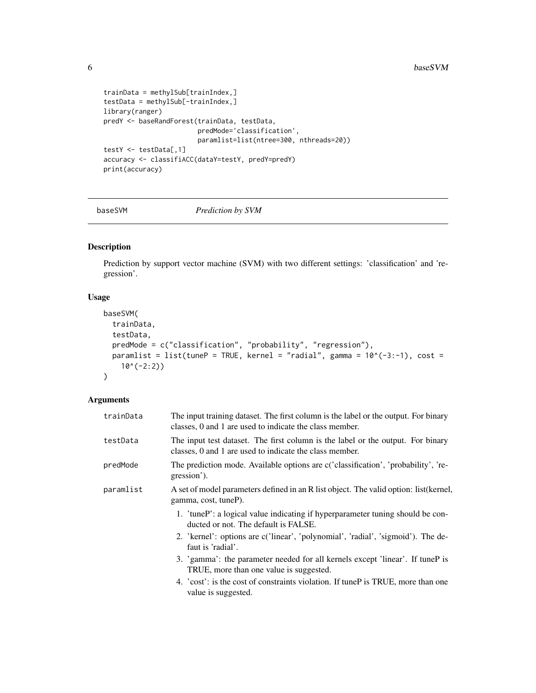```
trainData = methylSub[trainIndex,]
testData = methylSub[-trainIndex,]
library(ranger)
predY <- baseRandForest(trainData, testData,
                       predMode='classification',
                       paramlist=list(ntree=300, nthreads=20))
testY <- testData[,1]
accuracy <- classifiACC(dataY=testY, predY=predY)
print(accuracy)
```
baseSVM *Prediction by SVM*

# Description

Prediction by support vector machine (SVM) with two different settings: 'classification' and 'regression'.

#### Usage

```
baseSVM(
  trainData,
  testData,
 predMode = c("classification", "probability", "regression"),
 paramlist = list(tuneP = TRUE, kernel = "radial", gamma = 10^*(-3:-1), cost =
    10^(-2:2)\lambda
```

| trainData | The input training dataset. The first column is the label or the output. For binary<br>classes, 0 and 1 are used to indicate the class member. |  |
|-----------|------------------------------------------------------------------------------------------------------------------------------------------------|--|
| testData  | The input test dataset. The first column is the label or the output. For binary<br>classes, 0 and 1 are used to indicate the class member.     |  |
| predMode  | The prediction mode. Available options are c('classification', 'probability', 're-<br>gression').                                              |  |
| paramlist | A set of model parameters defined in an R list object. The valid option: list (kernel,<br>gamma, cost, tuneP).                                 |  |
|           | 1. 'tuneP': a logical value indicating if hyperparameter tuning should be con-<br>ducted or not. The default is FALSE.                         |  |
|           | 2. 'kernel': options are c('linear', 'polynomial', 'radial', 'sigmoid'). The de-<br>faut is 'radial'.                                          |  |
|           | 3. 'gamma': the parameter needed for all kernels except 'linear'. If tuneP is<br>TRUE, more than one value is suggested.                       |  |
|           | 4. 'cost': is the cost of constraints violation. If tuneP is TRUE, more than one<br>value is suggested.                                        |  |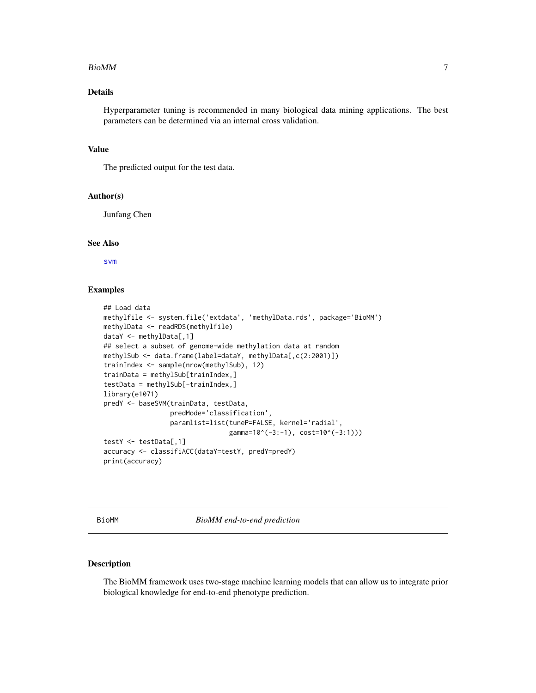#### <span id="page-6-0"></span>BioMM 7

# Details

Hyperparameter tuning is recommended in many biological data mining applications. The best parameters can be determined via an internal cross validation.

# Value

The predicted output for the test data.

#### Author(s)

Junfang Chen

#### See Also

[svm](#page-0-0)

# Examples

```
## Load data
methylfile <- system.file('extdata', 'methylData.rds', package='BioMM')
methylData <- readRDS(methylfile)
dataY <- methylData[,1]
## select a subset of genome-wide methylation data at random
methylSub <- data.frame(label=dataY, methylData[,c(2:2001)])
trainIndex <- sample(nrow(methylSub), 12)
trainData = methylSub[trainIndex,]
testData = methylSub[-trainIndex,]
library(e1071)
predY <- baseSVM(trainData, testData,
                 predMode='classification',
                 paramlist=list(tuneP=FALSE, kernel='radial',
                                gamma=10^(-3:-1), cost=10^(-3:1)))
testY <- testData[,1]
accuracy <- classifiACC(dataY=testY, predY=predY)
print(accuracy)
```
BioMM *BioMM end-to-end prediction*

#### Description

The BioMM framework uses two-stage machine learning models that can allow us to integrate prior biological knowledge for end-to-end phenotype prediction.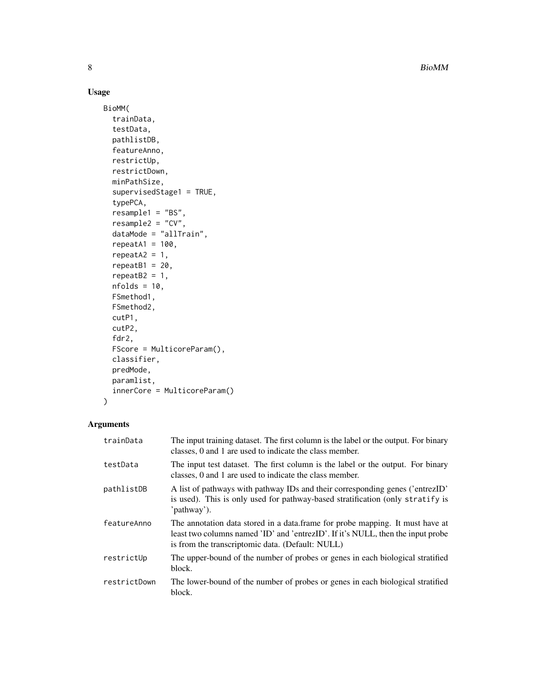8 BioMM and the state of the state of the state of the state of the state of the state of the state of the state of the state of the state of the state of the state of the state of the state of the state of the state of th

# Usage

```
BioMM(
  trainData,
  testData,
 pathlistDB,
  featureAnno,
  restrictUp,
  restrictDown,
 minPathSize,
  supervisedStage1 = TRUE,
  typePCA,
  resample1 = "BS",
  resample2 = "CV",dataMode = "allTrain",
  repeatA1 = 100,repeatA2 = 1,repeatB1 = 20,
  repeatB2 = 1,
  nfolds = 10,
  FSmethod1,
 FSmethod2,
  cutP1,
  cutP2,
  fdr2,
  FScore = MulticoreParam(),
  classifier,
 predMode,
 paramlist,
  innerCore = MulticoreParam()
)
```

| trainData    | The input training dataset. The first column is the label or the output. For binary<br>classes, 0 and 1 are used to indicate the class member.                                                                       |
|--------------|----------------------------------------------------------------------------------------------------------------------------------------------------------------------------------------------------------------------|
| testData     | The input test dataset. The first column is the label or the output. For binary<br>classes, 0 and 1 are used to indicate the class member.                                                                           |
| pathlistDB   | A list of pathways with pathway IDs and their corresponding genes ('entrezID'<br>is used). This is only used for pathway-based stratification (only stratify is<br>'pathway').                                       |
| featureAnno  | The annotation data stored in a data.frame for probe mapping. It must have at<br>least two columns named 'ID' and 'entrezID'. If it's NULL, then the input probe<br>is from the transcriptomic data. (Default: NULL) |
| restrictUp   | The upper-bound of the number of probes or genes in each biological stratified<br>block.                                                                                                                             |
| restrictDown | The lower-bound of the number of probes or genes in each biological stratified<br>block.                                                                                                                             |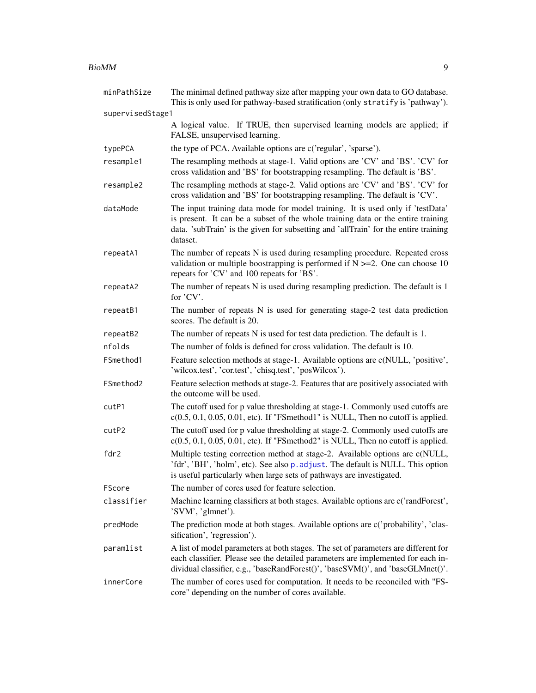#### <span id="page-8-0"></span>BioMM 9

| minPathSize      | The minimal defined pathway size after mapping your own data to GO database.<br>This is only used for pathway-based stratification (only stratify is 'pathway').                                                                                                      |  |
|------------------|-----------------------------------------------------------------------------------------------------------------------------------------------------------------------------------------------------------------------------------------------------------------------|--|
| supervisedStage1 |                                                                                                                                                                                                                                                                       |  |
|                  | A logical value. If TRUE, then supervised learning models are applied; if<br>FALSE, unsupervised learning.                                                                                                                                                            |  |
| typePCA          | the type of PCA. Available options are c('regular', 'sparse').                                                                                                                                                                                                        |  |
| resample1        | The resampling methods at stage-1. Valid options are 'CV' and 'BS'. 'CV' for<br>cross validation and 'BS' for bootstrapping resampling. The default is 'BS'.                                                                                                          |  |
| resample2        | The resampling methods at stage-2. Valid options are 'CV' and 'BS'. 'CV' for<br>cross validation and 'BS' for bootstrapping resampling. The default is 'CV'.                                                                                                          |  |
| dataMode         | The input training data mode for model training. It is used only if 'testData'<br>is present. It can be a subset of the whole training data or the entire training<br>data. 'subTrain' is the given for subsetting and 'allTrain' for the entire training<br>dataset. |  |
| repeatA1         | The number of repeats N is used during resampling procedure. Repeated cross<br>validation or multiple boostrapping is performed if $N \ge 2$ . One can choose 10<br>repeats for 'CV' and 100 repeats for 'BS'.                                                        |  |
| repeatA2         | The number of repeats N is used during resampling prediction. The default is 1<br>for 'CV'.                                                                                                                                                                           |  |
| repeatB1         | The number of repeats N is used for generating stage-2 test data prediction<br>scores. The default is 20.                                                                                                                                                             |  |
| repeatB2         | The number of repeats N is used for test data prediction. The default is 1.                                                                                                                                                                                           |  |
| nfolds           | The number of folds is defined for cross validation. The default is 10.                                                                                                                                                                                               |  |
| FSmethod1        | Feature selection methods at stage-1. Available options are c(NULL, 'positive',<br>'wilcox.test', 'cor.test', 'chisq.test', 'posWilcox').                                                                                                                             |  |
| FSmethod2        | Feature selection methods at stage-2. Features that are positively associated with<br>the outcome will be used.                                                                                                                                                       |  |
| cutP1            | The cutoff used for p value thresholding at stage-1. Commonly used cutoffs are<br>$c(0.5, 0.1, 0.05, 0.01, etc)$ . If "FSmethod1" is NULL, Then no cutoff is applied.                                                                                                 |  |
| cutP2            | The cutoff used for p value thresholding at stage-2. Commonly used cutoffs are<br>$c(0.5, 0.1, 0.05, 0.01, etc)$ . If "FSmethod2" is NULL, Then no cutoff is applied.                                                                                                 |  |
| fdr2             | Multiple testing correction method at stage-2. Available options are c(NULL,<br>'fdr', 'BH', 'holm', etc). See also p. adjust. The default is NULL. This option<br>is useful particularly when large sets of pathways are investigated.                               |  |
| FScore           | The number of cores used for feature selection.                                                                                                                                                                                                                       |  |
| classifier       | Machine learning classifiers at both stages. Available options are c('randForest',<br>'SVM', 'glmnet').                                                                                                                                                               |  |
| predMode         | The prediction mode at both stages. Available options are c('probability', 'clas-<br>sification', 'regression').                                                                                                                                                      |  |
| paramlist        | A list of model parameters at both stages. The set of parameters are different for<br>each classifier. Please see the detailed parameters are implemented for each in-<br>dividual classifier, e.g., 'baseRandForest()', 'baseSVM()', and 'baseGLMnet()'.             |  |
| innerCore        | The number of cores used for computation. It needs to be reconciled with "FS-<br>core" depending on the number of cores available.                                                                                                                                    |  |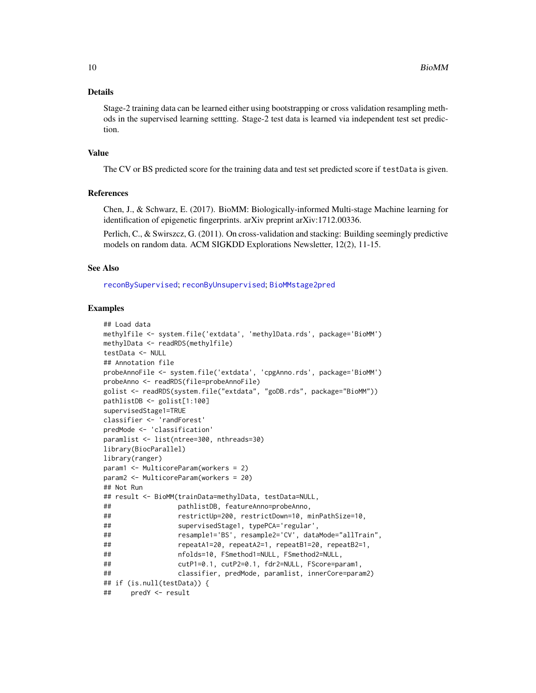#### <span id="page-9-0"></span>Details

Stage-2 training data can be learned either using bootstrapping or cross validation resampling methods in the supervised learning settting. Stage-2 test data is learned via independent test set prediction.

#### Value

The CV or BS predicted score for the training data and test set predicted score if testData is given.

# References

Chen, J., & Schwarz, E. (2017). BioMM: Biologically-informed Multi-stage Machine learning for identification of epigenetic fingerprints. arXiv preprint arXiv:1712.00336.

Perlich, C., & Swirszcz, G. (2011). On cross-validation and stacking: Building seemingly predictive models on random data. ACM SIGKDD Explorations Newsletter, 12(2), 11-15.

#### See Also

[reconBySupervised](#page-25-1); [reconByUnsupervised](#page-27-1); [BioMMstage2pred](#page-10-1)

```
## Load data
methylfile <- system.file('extdata', 'methylData.rds', package='BioMM')
methylData <- readRDS(methylfile)
testData <- NULL
## Annotation file
probeAnnoFile <- system.file('extdata', 'cpgAnno.rds', package='BioMM')
probeAnno <- readRDS(file=probeAnnoFile)
golist <- readRDS(system.file("extdata", "goDB.rds", package="BioMM"))
pathlistDB <- golist[1:100]
supervisedStage1=TRUE
classifier <- 'randForest'
predMode <- 'classification'
paramlist <- list(ntree=300, nthreads=30)
library(BiocParallel)
library(ranger)
param1 <- MulticoreParam(workers = 2)
param2 <- MulticoreParam(workers = 20)
## Not Run
## result <- BioMM(trainData=methylData, testData=NULL,
## pathlistDB, featureAnno=probeAnno,
## restrictUp=200, restrictDown=10, minPathSize=10,
## supervisedStage1, typePCA='regular',
## resample1='BS', resample2='CV', dataMode="allTrain",
## repeatA1=20, repeatA2=1, repeatB1=20, repeatB2=1,
## nfolds=10, FSmethod1=NULL, FSmethod2=NULL,
## cutP1=0.1, cutP2=0.1, fdr2=NULL, FScore=param1,
## classifier, predMode, paramlist, innerCore=param2)
## if (is.null(testData)) {
## predY <- result
```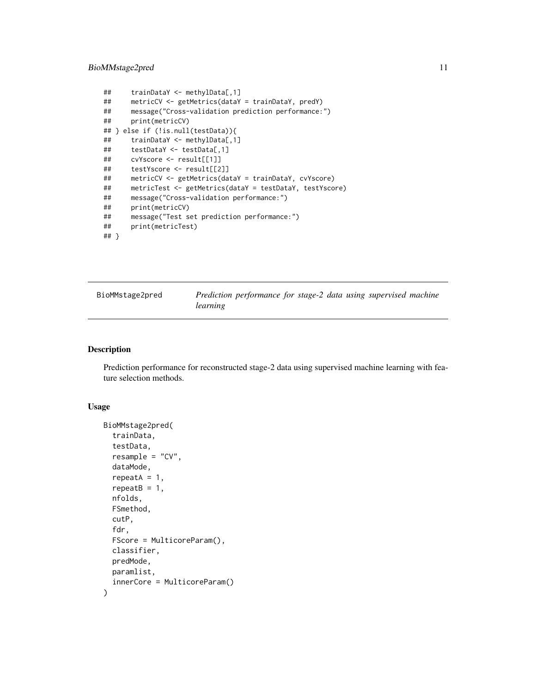# <span id="page-10-0"></span>BioMMstage2pred 11

```
## trainDataY <- methylData[,1]
## metricCV <- getMetrics(dataY = trainDataY, predY)
## message("Cross-validation prediction performance:")
## print(metricCV)
## } else if (!is.null(testData)){
## trainDataY <- methylData[,1]
## testDataY <- testData[,1]
## cvYscore <- result[[1]]
## testYscore <- result[[2]]
## metricCV <- getMetrics(dataY = trainDataY, cvYscore)
## metricTest <- getMetrics(dataY = testDataY, testYscore)
## message("Cross-validation performance:")
## print(metricCV)
## message("Test set prediction performance:")
## print(metricTest)
## }
```
<span id="page-10-1"></span>

| BioMMstage2pred | Prediction performance for stage-2 data using supervised machine |  |
|-----------------|------------------------------------------------------------------|--|
|                 | learning                                                         |  |

### Description

Prediction performance for reconstructed stage-2 data using supervised machine learning with feature selection methods.

#### Usage

```
BioMMstage2pred(
  trainData,
  testData,
  resample = "CV",
  dataMode,
  repeatA = 1,
  repeatB = 1,
  nfolds,
  FSmethod,
  cutP,
  fdr,
  FScore = MulticoreParam(),
  classifier,
  predMode,
 paramlist,
  innerCore = MulticoreParam()
)
```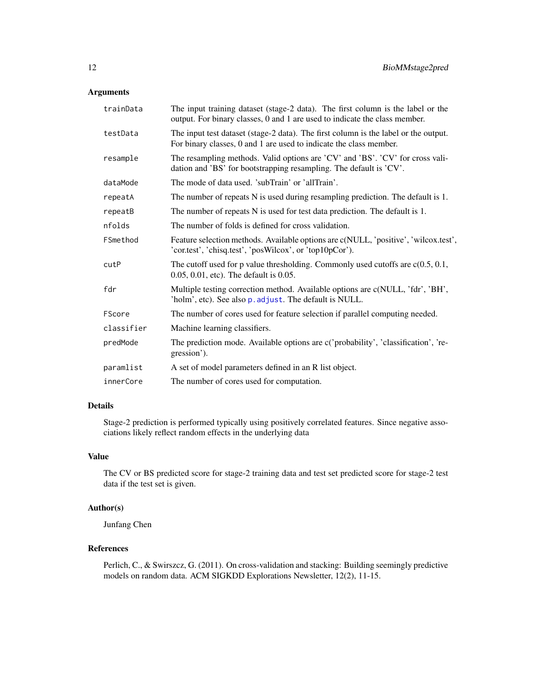# <span id="page-11-0"></span>Arguments

| trainData  | The input training dataset (stage-2 data). The first column is the label or the<br>output. For binary classes, 0 and 1 are used to indicate the class member. |  |
|------------|---------------------------------------------------------------------------------------------------------------------------------------------------------------|--|
| testData   | The input test dataset (stage-2 data). The first column is the label or the output.<br>For binary classes, 0 and 1 are used to indicate the class member.     |  |
| resample   | The resampling methods. Valid options are 'CV' and 'BS'. 'CV' for cross vali-<br>dation and 'BS' for bootstrapping resampling. The default is 'CV'.           |  |
| dataMode   | The mode of data used. 'subTrain' or 'allTrain'.                                                                                                              |  |
| repeatA    | The number of repeats N is used during resampling prediction. The default is 1.                                                                               |  |
| repeatB    | The number of repeats N is used for test data prediction. The default is 1.                                                                                   |  |
| nfolds     | The number of folds is defined for cross validation.                                                                                                          |  |
| FSmethod   | Feature selection methods. Available options are c(NULL, 'positive', 'wilcox.test',<br>'cor.test', 'chisq.test', 'posWilcox', or 'top10pCor').                |  |
| cutP       | The cutoff used for p value thresholding. Commonly used cutoffs are $c(0.5, 0.1, 0.5)$<br>0.05, 0.01, etc). The default is 0.05.                              |  |
| fdr        | Multiple testing correction method. Available options are c(NULL, 'fdr', 'BH',<br>'holm', etc). See also p. adjust. The default is NULL.                      |  |
| FScore     | The number of cores used for feature selection if parallel computing needed.                                                                                  |  |
| classifier | Machine learning classifiers.                                                                                                                                 |  |
| predMode   | The prediction mode. Available options are c('probability', 'classification', 're-<br>gression').                                                             |  |
| paramlist  | A set of model parameters defined in an R list object.                                                                                                        |  |
| innerCore  | The number of cores used for computation.                                                                                                                     |  |

# Details

Stage-2 prediction is performed typically using positively correlated features. Since negative associations likely reflect random effects in the underlying data

# Value

The CV or BS predicted score for stage-2 training data and test set predicted score for stage-2 test data if the test set is given.

# Author(s)

Junfang Chen

# References

Perlich, C., & Swirszcz, G. (2011). On cross-validation and stacking: Building seemingly predictive models on random data. ACM SIGKDD Explorations Newsletter, 12(2), 11-15.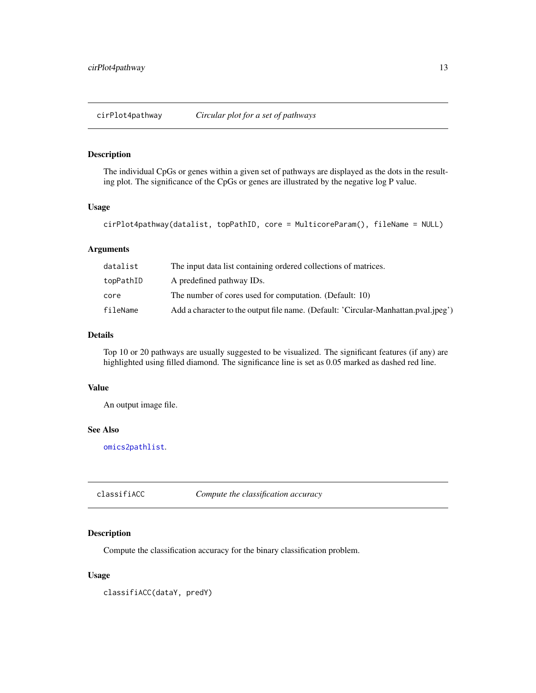<span id="page-12-0"></span>cirPlot4pathway *Circular plot for a set of pathways*

# Description

The individual CpGs or genes within a given set of pathways are displayed as the dots in the resulting plot. The significance of the CpGs or genes are illustrated by the negative log P value.

#### Usage

```
cirPlot4pathway(datalist, topPathID, core = MulticoreParam(), fileName = NULL)
```
#### Arguments

| datalist  | The input data list containing ordered collections of matrices.                    |
|-----------|------------------------------------------------------------------------------------|
| topPathID | A predefined pathway IDs.                                                          |
| core      | The number of cores used for computation. (Default: 10)                            |
| fileName  | Add a character to the output file name. (Default: 'Circular-Manhattan.pval.jpeg') |

#### Details

Top 10 or 20 pathways are usually suggested to be visualized. The significant features (if any) are highlighted using filled diamond. The significance line is set as 0.05 marked as dashed red line.

# Value

An output image file.

#### See Also

[omics2pathlist](#page-16-1).

classifiACC *Compute the classification accuracy*

# Description

Compute the classification accuracy for the binary classification problem.

#### Usage

classifiACC(dataY, predY)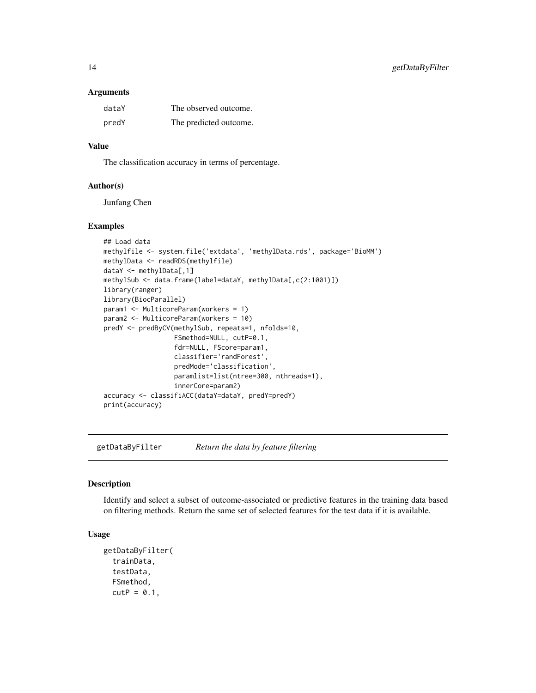#### <span id="page-13-0"></span>Arguments

| dataY | The observed outcome.  |
|-------|------------------------|
| predY | The predicted outcome. |

# Value

The classification accuracy in terms of percentage.

#### Author(s)

Junfang Chen

#### Examples

```
## Load data
methylfile <- system.file('extdata', 'methylData.rds', package='BioMM')
methylData <- readRDS(methylfile)
dataY <- methylData[,1]
methylSub <- data.frame(label=dataY, methylData[,c(2:1001)])
library(ranger)
library(BiocParallel)
param1 <- MulticoreParam(workers = 1)
param2 <- MulticoreParam(workers = 10)
predY <- predByCV(methylSub, repeats=1, nfolds=10,
                  FSmethod=NULL, cutP=0.1,
                  fdr=NULL, FScore=param1,
                  classifier='randForest',
                  predMode='classification',
                  paramlist=list(ntree=300, nthreads=1),
                  innerCore=param2)
accuracy <- classifiACC(dataY=dataY, predY=predY)
print(accuracy)
```
<span id="page-13-1"></span>getDataByFilter *Return the data by feature filtering*

#### Description

Identify and select a subset of outcome-associated or predictive features in the training data based on filtering methods. Return the same set of selected features for the test data if it is available.

# Usage

```
getDataByFilter(
  trainData,
  testData,
  FSmethod,
  cutP = 0.1,
```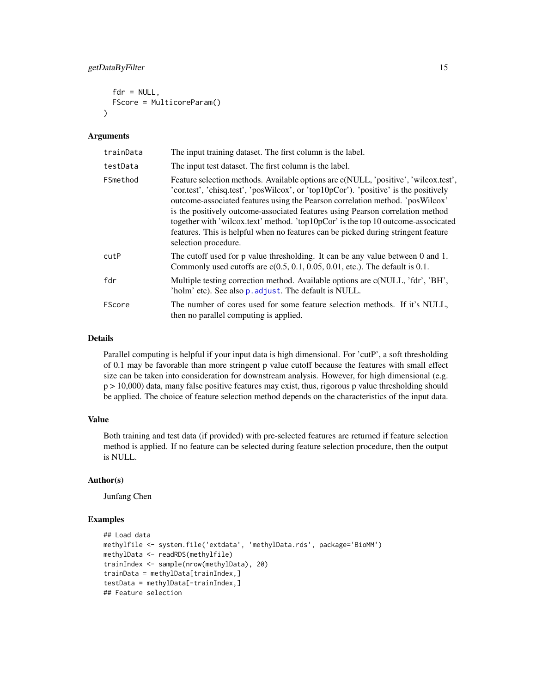# <span id="page-14-0"></span>getDataByFilter 15

```
fdr = NULL,FScore = MulticoreParam()
)
```
#### Arguments

| trainData | The input training dataset. The first column is the label.                                                                                                                                                                                                                                                                                                                                                                                                                                                                                     |
|-----------|------------------------------------------------------------------------------------------------------------------------------------------------------------------------------------------------------------------------------------------------------------------------------------------------------------------------------------------------------------------------------------------------------------------------------------------------------------------------------------------------------------------------------------------------|
| testData  | The input test dataset. The first column is the label.                                                                                                                                                                                                                                                                                                                                                                                                                                                                                         |
| FSmethod  | Feature selection methods. Available options are c(NULL, 'positive', 'wilcox.test',<br>'cortest', 'chisq.test', 'posWilcox', or 'top10pCor'). 'positive' is the positively<br>outcome-associated features using the Pearson correlation method. 'posWilcox'<br>is the positively outcome-associated features using Pearson correlation method<br>together with 'wilcox.text' method. 'top10pCor' is the top 10 outcome-associated<br>features. This is helpful when no features can be picked during stringent feature<br>selection procedure. |
| cutP      | The cutoff used for p value thresholding. It can be any value between 0 and 1.<br>Commonly used cutoffs are $c(0.5, 0.1, 0.05, 0.01,$ etc.). The default is 0.1.                                                                                                                                                                                                                                                                                                                                                                               |
| fdr       | Multiple testing correction method. Available options are c(NULL, 'fdr', 'BH',<br>'holm' etc). See also p. adjust. The default is NULL.                                                                                                                                                                                                                                                                                                                                                                                                        |
| FScore    | The number of cores used for some feature selection methods. If it's NULL,<br>then no parallel computing is applied.                                                                                                                                                                                                                                                                                                                                                                                                                           |

#### Details

Parallel computing is helpful if your input data is high dimensional. For 'cutP', a soft thresholding of 0.1 may be favorable than more stringent p value cutoff because the features with small effect size can be taken into consideration for downstream analysis. However, for high dimensional (e.g. p > 10,000) data, many false positive features may exist, thus, rigorous p value thresholding should be applied. The choice of feature selection method depends on the characteristics of the input data.

# Value

Both training and test data (if provided) with pre-selected features are returned if feature selection method is applied. If no feature can be selected during feature selection procedure, then the output is NULL.

#### Author(s)

Junfang Chen

```
## Load data
methylfile <- system.file('extdata', 'methylData.rds', package='BioMM')
methylData <- readRDS(methylfile)
trainIndex <- sample(nrow(methylData), 20)
trainData = methylData[trainIndex,]
testData = methylData[-trainIndex,]
## Feature selection
```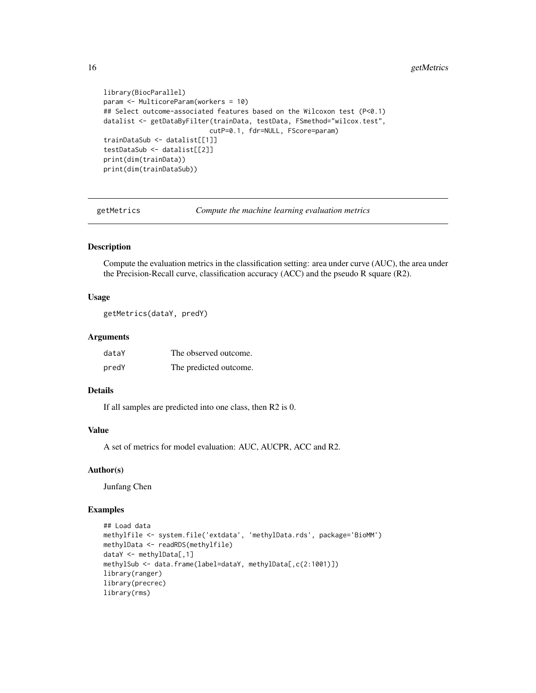```
library(BiocParallel)
param <- MulticoreParam(workers = 10)
## Select outcome-associated features based on the Wilcoxon test (P<0.1)
datalist <- getDataByFilter(trainData, testData, FSmethod="wilcox.test",
                           cutP=0.1, fdr=NULL, FScore=param)
trainDataSub <- datalist[[1]]
testDataSub <- datalist[[2]]
print(dim(trainData))
print(dim(trainDataSub))
```
getMetrics *Compute the machine learning evaluation metrics*

#### Description

Compute the evaluation metrics in the classification setting: area under curve (AUC), the area under the Precision-Recall curve, classification accuracy (ACC) and the pseudo R square (R2).

#### Usage

```
getMetrics(dataY, predY)
```
#### Arguments

| dataY | The observed outcome.  |
|-------|------------------------|
| predY | The predicted outcome. |

# Details

If all samples are predicted into one class, then R2 is 0.

# Value

A set of metrics for model evaluation: AUC, AUCPR, ACC and R2.

#### Author(s)

Junfang Chen

```
## Load data
methylfile <- system.file('extdata', 'methylData.rds', package='BioMM')
methylData <- readRDS(methylfile)
dataY <- methylData[,1]
methylSub <- data.frame(label=dataY, methylData[,c(2:1001)])
library(ranger)
library(precrec)
library(rms)
```
<span id="page-15-0"></span>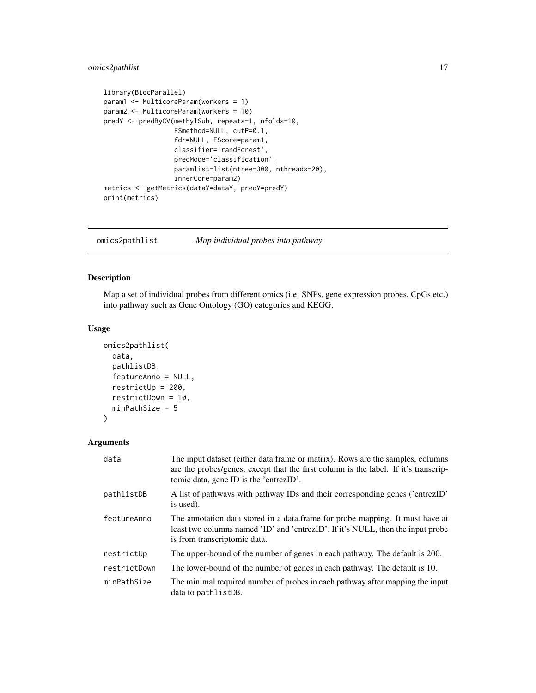# <span id="page-16-0"></span>omics2pathlist 17

```
library(BiocParallel)
param1 <- MulticoreParam(workers = 1)
param2 <- MulticoreParam(workers = 10)
predY <- predByCV(methylSub, repeats=1, nfolds=10,
                  FSmethod=NULL, cutP=0.1,
                  fdr=NULL, FScore=param1,
                  classifier='randForest',
                  predMode='classification',
                  paramlist=list(ntree=300, nthreads=20),
                  innerCore=param2)
metrics <- getMetrics(dataY=dataY, predY=predY)
print(metrics)
```
<span id="page-16-1"></span>omics2pathlist *Map individual probes into pathway*

#### Description

Map a set of individual probes from different omics (i.e. SNPs, gene expression probes, CpGs etc.) into pathway such as Gene Ontology (GO) categories and KEGG.

#### Usage

```
omics2pathlist(
  data,
  pathlistDB,
  featureAnno = NULL,
  restrictUp = 200,
  restrictDown = 10,
  minPathSize = 5
\mathcal{L}
```

| data         | The input dataset (either data.frame or matrix). Rows are the samples, columns<br>are the probes/genes, except that the first column is the label. If it's transcrip-<br>tomic data, gene ID is the 'entrezID'. |
|--------------|-----------------------------------------------------------------------------------------------------------------------------------------------------------------------------------------------------------------|
| pathlistDB   | A list of pathways with pathway IDs and their corresponding genes ('entrezID'<br>is used).                                                                                                                      |
| featureAnno  | The annotation data stored in a data.frame for probe mapping. It must have at<br>least two columns named 'ID' and 'entrezID'. If it's NULL, then the input probe<br>is from transcriptomic data.                |
| restrictUp   | The upper-bound of the number of genes in each pathway. The default is 200.                                                                                                                                     |
| restrictDown | The lower-bound of the number of genes in each pathway. The default is 10.                                                                                                                                      |
| minPathSize  | The minimal required number of probes in each pathway after mapping the input<br>data to pathlistDB.                                                                                                            |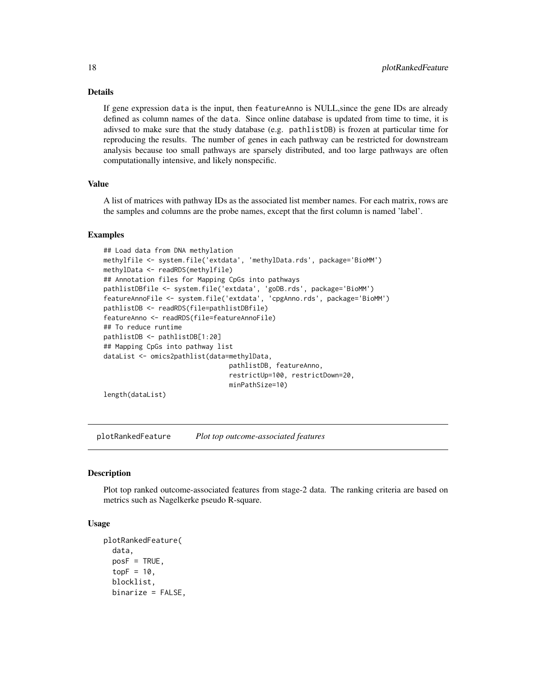# Details

If gene expression data is the input, then featureAnno is NULL,since the gene IDs are already defined as column names of the data. Since online database is updated from time to time, it is adivsed to make sure that the study database (e.g. pathlistDB) is frozen at particular time for reproducing the results. The number of genes in each pathway can be restricted for downstream analysis because too small pathways are sparsely distributed, and too large pathways are often computationally intensive, and likely nonspecific.

#### Value

A list of matrices with pathway IDs as the associated list member names. For each matrix, rows are the samples and columns are the probe names, except that the first column is named 'label'.

#### Examples

```
## Load data from DNA methylation
methylfile <- system.file('extdata', 'methylData.rds', package='BioMM')
methylData <- readRDS(methylfile)
## Annotation files for Mapping CpGs into pathways
pathlistDBfile <- system.file('extdata', 'goDB.rds', package='BioMM')
featureAnnoFile <- system.file('extdata', 'cpgAnno.rds', package='BioMM')
pathlistDB <- readRDS(file=pathlistDBfile)
featureAnno <- readRDS(file=featureAnnoFile)
## To reduce runtime
pathlistDB <- pathlistDB[1:20]
## Mapping CpGs into pathway list
dataList <- omics2pathlist(data=methylData,
                                pathlistDB, featureAnno,
                                restrictUp=100, restrictDown=20,
                                minPathSize=10)
```
length(dataList)

plotRankedFeature *Plot top outcome-associated features*

#### Description

Plot top ranked outcome-associated features from stage-2 data. The ranking criteria are based on metrics such as Nagelkerke pseudo R-square.

## Usage

```
plotRankedFeature(
  data,
  posF = TRUE,
  topF = 10,
  blocklist,
 binarize = FALSE,
```
<span id="page-17-0"></span>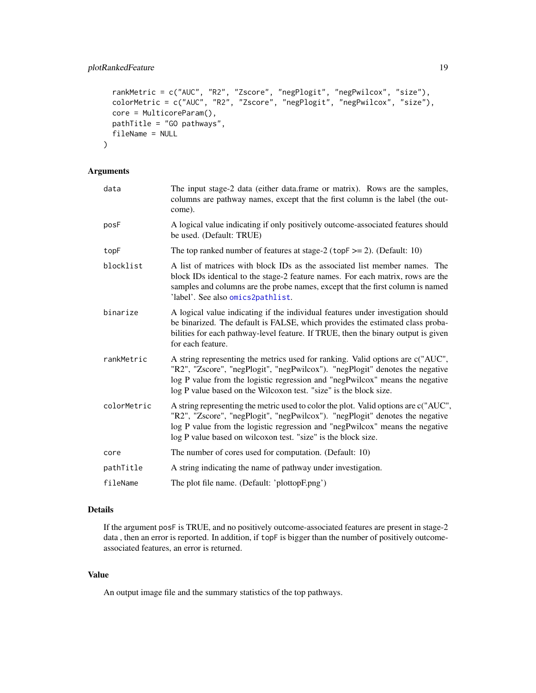```
rankMetric = c("AUC", "R2", "Zscore", "negPlogit", "negPwilcox", "size"),
  colorMetric = c("AUC", "R2", "Zscore", "negPlogit", "negPwilcox", "size"),
 core = MulticoreParam(),
 pathTitle = "GO pathways",
 fileName = NULL
\mathcal{L}
```
# Arguments

| data        | The input stage-2 data (either data.frame or matrix). Rows are the samples,<br>columns are pathway names, except that the first column is the label (the out-<br>come).                                                                                                                                              |
|-------------|----------------------------------------------------------------------------------------------------------------------------------------------------------------------------------------------------------------------------------------------------------------------------------------------------------------------|
| posF        | A logical value indicating if only positively outcome-associated features should<br>be used. (Default: TRUE)                                                                                                                                                                                                         |
| topF        | The top ranked number of features at stage-2 ( $topF \ge 2$ ). (Default: 10)                                                                                                                                                                                                                                         |
| blocklist   | A list of matrices with block IDs as the associated list member names. The<br>block IDs identical to the stage-2 feature names. For each matrix, rows are the<br>samples and columns are the probe names, except that the first column is named<br>'label'. See also omics2pathlist.                                 |
| binarize    | A logical value indicating if the individual features under investigation should<br>be binarized. The default is FALSE, which provides the estimated class proba-<br>bilities for each pathway-level feature. If TRUE, then the binary output is given<br>for each feature.                                          |
| rankMetric  | A string representing the metrics used for ranking. Valid options are c("AUC",<br>"R2", "Zscore", "negPlogit", "negPwilcox"). "negPlogit" denotes the negative<br>log P value from the logistic regression and "negPwilcox" means the negative<br>log P value based on the Wilcoxon test. "size" is the block size.  |
| colorMetric | A string representing the metric used to color the plot. Valid options are c("AUC",<br>"R2", "Zscore", "negPlogit", "negPwilcox"). "negPlogit" denotes the negative<br>log P value from the logistic regression and "negPwilcox" means the negative<br>log P value based on wilcoxon test. "size" is the block size. |
| core        | The number of cores used for computation. (Default: 10)                                                                                                                                                                                                                                                              |
| pathTitle   | A string indicating the name of pathway under investigation.                                                                                                                                                                                                                                                         |
| fileName    | The plot file name. (Default: 'plottopF.png')                                                                                                                                                                                                                                                                        |

# Details

If the argument posF is TRUE, and no positively outcome-associated features are present in stage-2 data , then an error is reported. In addition, if topF is bigger than the number of positively outcomeassociated features, an error is returned.

# Value

An output image file and the summary statistics of the top pathways.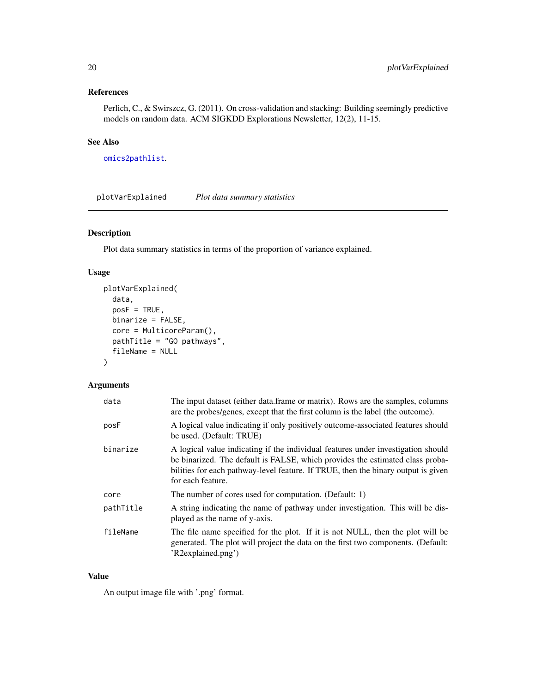# <span id="page-19-0"></span>References

Perlich, C., & Swirszcz, G. (2011). On cross-validation and stacking: Building seemingly predictive models on random data. ACM SIGKDD Explorations Newsletter, 12(2), 11-15.

# See Also

[omics2pathlist](#page-16-1).

plotVarExplained *Plot data summary statistics*

# Description

Plot data summary statistics in terms of the proportion of variance explained.

#### Usage

```
plotVarExplained(
  data,
  posF = TRUE,
 binarize = FALSE,
  core = MulticoreParam(),
  pathTitle = "GO pathways",
  fileName = NULL
)
```
# Arguments

| data      | The input dataset (either data.frame or matrix). Rows are the samples, columns<br>are the probes/genes, except that the first column is the label (the outcome).                                                                                                            |
|-----------|-----------------------------------------------------------------------------------------------------------------------------------------------------------------------------------------------------------------------------------------------------------------------------|
| posF      | A logical value indicating if only positively outcome-associated features should<br>be used. (Default: TRUE)                                                                                                                                                                |
| binarize  | A logical value indicating if the individual features under investigation should<br>be binarized. The default is FALSE, which provides the estimated class proba-<br>bilities for each pathway-level feature. If TRUE, then the binary output is given<br>for each feature. |
| core      | The number of cores used for computation. (Default: 1)                                                                                                                                                                                                                      |
| pathTitle | A string indicating the name of pathway under investigation. This will be dis-<br>played as the name of y-axis.                                                                                                                                                             |
| fileName  | The file name specified for the plot. If it is not NULL, then the plot will be<br>generated. The plot will project the data on the first two components. (Default:<br>'R2explained.png')                                                                                    |

# Value

An output image file with '.png' format.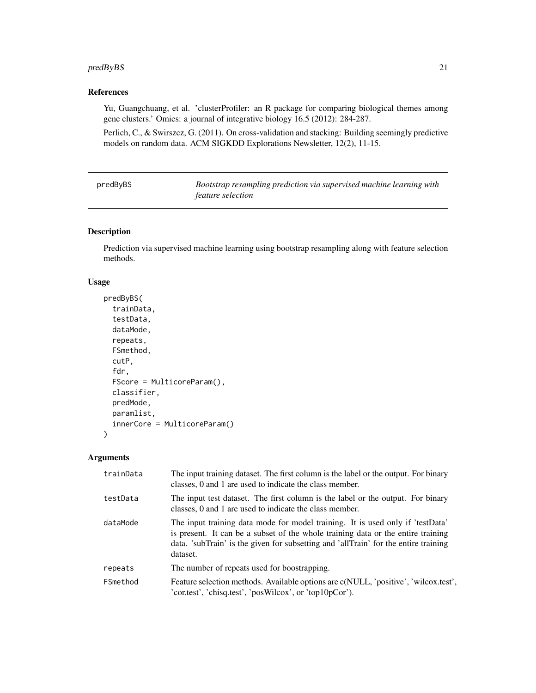# <span id="page-20-0"></span>predByBS 21

# References

Yu, Guangchuang, et al. 'clusterProfiler: an R package for comparing biological themes among gene clusters.' Omics: a journal of integrative biology 16.5 (2012): 284-287.

Perlich, C., & Swirszcz, G. (2011). On cross-validation and stacking: Building seemingly predictive models on random data. ACM SIGKDD Explorations Newsletter, 12(2), 11-15.

| predByBS | Bootstrap resampling prediction via supervised machine learning with |
|----------|----------------------------------------------------------------------|
|          | <i>feature selection</i>                                             |

# Description

Prediction via supervised machine learning using bootstrap resampling along with feature selection methods.

#### Usage

```
predByBS(
  trainData,
  testData,
  dataMode,
  repeats,
  FSmethod,
  cutP,
  fdr,
  FScore = MulticoreParam(),
  classifier,
  predMode,
 paramlist,
  innerCore = MulticoreParam()
\lambda
```

| trainData | The input training dataset. The first column is the label or the output. For binary<br>classes, 0 and 1 are used to indicate the class member.                                                                                                                        |
|-----------|-----------------------------------------------------------------------------------------------------------------------------------------------------------------------------------------------------------------------------------------------------------------------|
| testData  | The input test dataset. The first column is the label or the output. For binary<br>classes, 0 and 1 are used to indicate the class member.                                                                                                                            |
| dataMode  | The input training data mode for model training. It is used only if 'testData'<br>is present. It can be a subset of the whole training data or the entire training<br>data. 'subTrain' is the given for subsetting and 'allTrain' for the entire training<br>dataset. |
| repeats   | The number of repeats used for boostrapping.                                                                                                                                                                                                                          |
| FSmethod  | Feature selection methods. Available options are c(NULL, 'positive', 'wilcox.test',<br>'cor.test', 'chisq.test', 'posWilcox', or 'top10pCor').                                                                                                                        |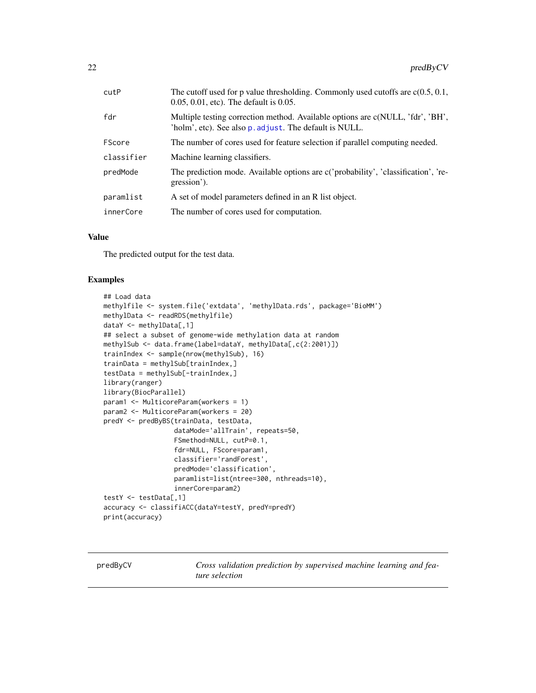<span id="page-21-0"></span>

| cutP       | The cutoff used for p value thresholding. Commonly used cutoffs are $c(0.5, 0.1, 0.1)$<br>$0.05, 0.01,$ etc). The default is $0.05$ .    |
|------------|------------------------------------------------------------------------------------------------------------------------------------------|
| fdr        | Multiple testing correction method. Available options are c(NULL, 'fdr', 'BH',<br>'holm', etc). See also p. adjust. The default is NULL. |
| FScore     | The number of cores used for feature selection if parallel computing needed.                                                             |
| classifier | Machine learning classifiers.                                                                                                            |
| predMode   | The prediction mode. Available options are c('probability', 'classification', 're-<br>gression').                                        |
| paramlist  | A set of model parameters defined in an R list object.                                                                                   |
| innerCore  | The number of cores used for computation.                                                                                                |

# Value

The predicted output for the test data.

# Examples

```
## Load data
methylfile <- system.file('extdata', 'methylData.rds', package='BioMM')
methylData <- readRDS(methylfile)
dataY <- methylData[,1]
## select a subset of genome-wide methylation data at random
methylSub <- data.frame(label=dataY, methylData[,c(2:2001)])
trainIndex <- sample(nrow(methylSub), 16)
trainData = methylSub[trainIndex,]
testData = methylSub[-trainIndex,]
library(ranger)
library(BiocParallel)
param1 <- MulticoreParam(workers = 1)
param2 <- MulticoreParam(workers = 20)
predY <- predByBS(trainData, testData,
                  dataMode='allTrain', repeats=50,
                  FSmethod=NULL, cutP=0.1,
                  fdr=NULL, FScore=param1,
                  classifier='randForest',
                  predMode='classification',
                  paramlist=list(ntree=300, nthreads=10),
                  innerCore=param2)
testY <- testData[,1]
accuracy <- classifiACC(dataY=testY, predY=predY)
print(accuracy)
```
predByCV *Cross validation prediction by supervised machine learning and feature selection*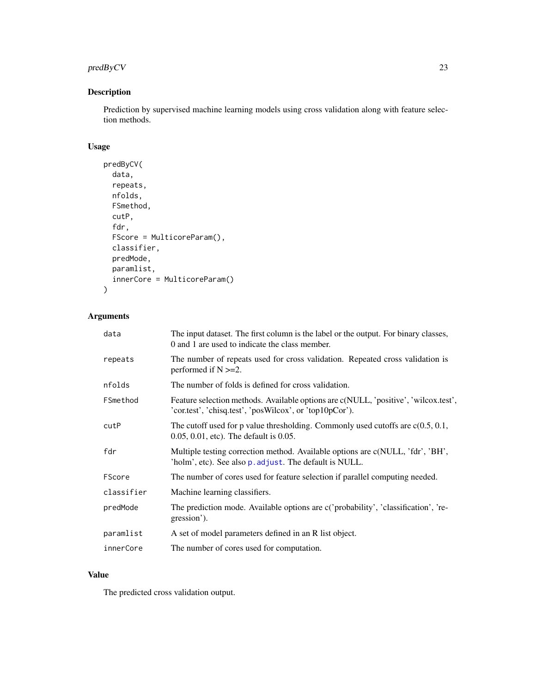# <span id="page-22-0"></span>predByCV 23

# Description

Prediction by supervised machine learning models using cross validation along with feature selection methods.

# Usage

```
predByCV(
  data,
  repeats,
  nfolds,
  FSmethod,
  cutP,
  fdr,
  FScore = MulticoreParam(),
  classifier,
  predMode,
  paramlist,
  innerCore = MulticoreParam()
)
```
# Arguments

| data       | The input dataset. The first column is the label or the output. For binary classes,<br>0 and 1 are used to indicate the class member.          |
|------------|------------------------------------------------------------------------------------------------------------------------------------------------|
| repeats    | The number of repeats used for cross validation. Repeated cross validation is<br>performed if $N \ge 2$ .                                      |
| nfolds     | The number of folds is defined for cross validation.                                                                                           |
| FSmethod   | Feature selection methods. Available options are c(NULL, 'positive', 'wilcox.test',<br>'cor.test', 'chisq.test', 'posWilcox', or 'top10pCor'). |
| cutP       | The cutoff used for p value thresholding. Commonly used cutoffs are $c(0.5, 0.1, 0.1)$<br>$0.05, 0.01,$ etc). The default is $0.05$ .          |
| fdr        | Multiple testing correction method. Available options are c(NULL, 'fdr', 'BH',<br>'holm', etc). See also p. adjust. The default is NULL.       |
| FScore     | The number of cores used for feature selection if parallel computing needed.                                                                   |
| classifier | Machine learning classifiers.                                                                                                                  |
| predMode   | The prediction mode. Available options are c('probability', 'classification', 're-<br>gression').                                              |
| paramlist  | A set of model parameters defined in an R list object.                                                                                         |
| innerCore  | The number of cores used for computation.                                                                                                      |

# Value

The predicted cross validation output.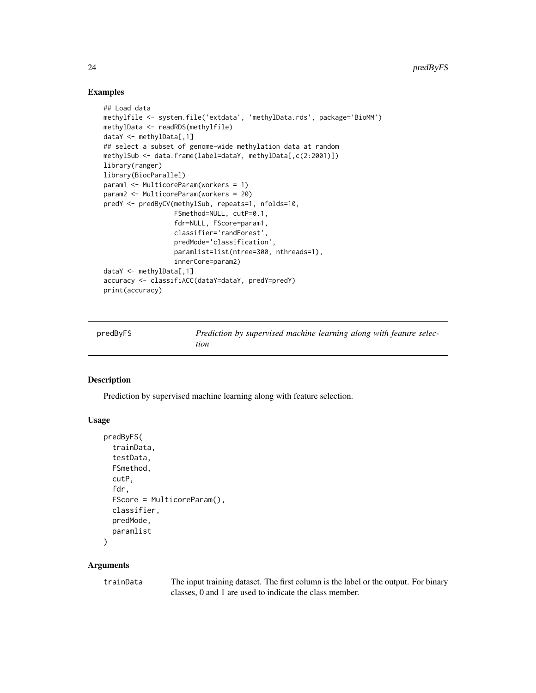### Examples

```
## Load data
methylfile <- system.file('extdata', 'methylData.rds', package='BioMM')
methylData <- readRDS(methylfile)
dataY <- methylData[,1]
## select a subset of genome-wide methylation data at random
methylSub <- data.frame(label=dataY, methylData[,c(2:2001)])
library(ranger)
library(BiocParallel)
param1 <- MulticoreParam(workers = 1)
param2 <- MulticoreParam(workers = 20)
predY <- predByCV(methylSub, repeats=1, nfolds=10,
                  FSmethod=NULL, cutP=0.1,
                  fdr=NULL, FScore=param1,
                  classifier='randForest',
                  predMode='classification',
                  paramlist=list(ntree=300, nthreads=1),
                  innerCore=param2)
dataY <- methylData[,1]
accuracy <- classifiACC(dataY=dataY, predY=predY)
print(accuracy)
```

| predByFS | Prediction by supervised machine learning along with feature selec- |
|----------|---------------------------------------------------------------------|
|          | tion                                                                |

# Description

Prediction by supervised machine learning along with feature selection.

#### Usage

```
predByFS(
  trainData,
  testData,
  FSmethod,
  cutP,
  fdr,
  FScore = MulticoreParam(),
  classifier,
 predMode,
  paramlist
)
```
### Arguments

trainData The input training dataset. The first column is the label or the output. For binary classes, 0 and 1 are used to indicate the class member.

<span id="page-23-0"></span>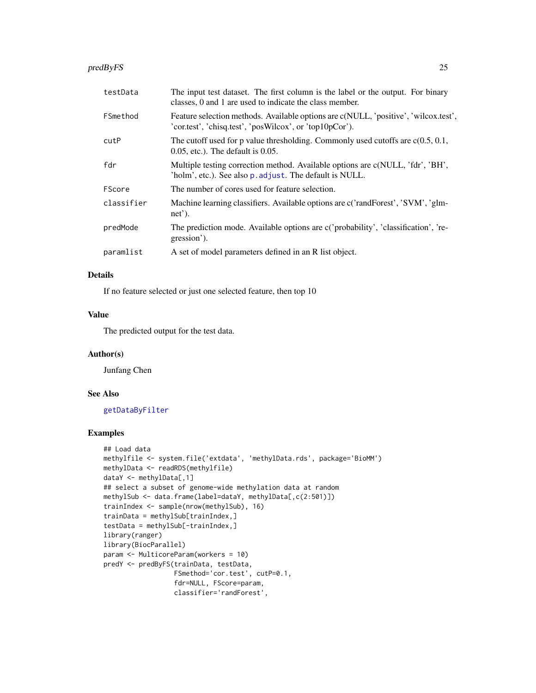#### <span id="page-24-0"></span>predByFS 25

| testData   | The input test dataset. The first column is the label or the output. For binary<br>classes, 0 and 1 are used to indicate the class member.     |
|------------|------------------------------------------------------------------------------------------------------------------------------------------------|
| FSmethod   | Feature selection methods. Available options are c(NULL, 'positive', 'wilcox.test',<br>'cor.test', 'chisq.test', 'posWilcox', or 'top10pCor'). |
| cutP       | The cutoff used for p value thresholding. Commonly used cutoffs are $c(0.5, 0.1, 0.1)$<br>$0.05$ , etc.). The default is $0.05$ .              |
| fdr        | Multiple testing correction method. Available options are c(NULL, 'fdr', 'BH',<br>'holm', etc.). See also p. adjust. The default is NULL.      |
| FScore     | The number of cores used for feature selection.                                                                                                |
| classifier | Machine learning classifiers. Available options are c('randForest', 'SVM', 'glm-<br>$net$ ).                                                   |
| predMode   | The prediction mode. Available options are c('probability', 'classification', 're-<br>gression').                                              |
| paramlist  | A set of model parameters defined in an R list object.                                                                                         |

# Details

If no feature selected or just one selected feature, then top 10

#### Value

The predicted output for the test data.

#### Author(s)

Junfang Chen

# See Also

[getDataByFilter](#page-13-1)

```
## Load data
methylfile <- system.file('extdata', 'methylData.rds', package='BioMM')
methylData <- readRDS(methylfile)
dataY <- methylData[,1]
## select a subset of genome-wide methylation data at random
methylSub <- data.frame(label=dataY, methylData[,c(2:501)])
trainIndex <- sample(nrow(methylSub), 16)
trainData = methylSub[trainIndex,]
testData = methylSub[-trainIndex,]
library(ranger)
library(BiocParallel)
param <- MulticoreParam(workers = 10)
predY <- predByFS(trainData, testData,
                  FSmethod='cor.test', cutP=0.1,
                  fdr=NULL, FScore=param,
                  classifier='randForest',
```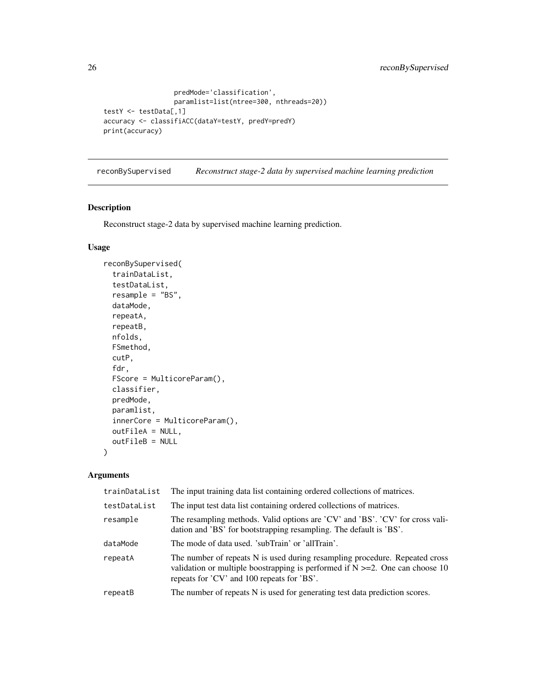```
predMode='classification',
                  paramlist=list(ntree=300, nthreads=20))
testY <- testData[,1]
accuracy <- classifiACC(dataY=testY, predY=predY)
print(accuracy)
```
<span id="page-25-1"></span>reconBySupervised *Reconstruct stage-2 data by supervised machine learning prediction*

# Description

Reconstruct stage-2 data by supervised machine learning prediction.

# Usage

```
reconBySupervised(
  trainDataList,
  testDataList,
 resample = "BS",
 dataMode,
  repeatA,
  repeatB,
  nfolds,
 FSmethod,
  cutP,
  fdr,
  FScore = MulticoreParam(),
 classifier,
 predMode,
 paramlist,
  innerCore = MulticoreParam(),
  outFileA = NULL,
  outFileB = NULL
)
```

| trainDataList | The input training data list containing ordered collections of matrices.                                                                                                                                       |
|---------------|----------------------------------------------------------------------------------------------------------------------------------------------------------------------------------------------------------------|
| testDataList  | The input test data list containing ordered collections of matrices.                                                                                                                                           |
| resample      | The resampling methods. Valid options are 'CV' and 'BS'. 'CV' for cross vali-<br>dation and 'BS' for bootstrapping resampling. The default is 'BS'.                                                            |
| dataMode      | The mode of data used. 'subTrain' or 'allTrain'.                                                                                                                                                               |
| repeatA       | The number of repeats N is used during resampling procedure. Repeated cross<br>validation or multiple boostrapping is performed if $N \ge 2$ . One can choose 10<br>repeats for 'CV' and 100 repeats for 'BS'. |
| repeatB       | The number of repeats N is used for generating test data prediction scores.                                                                                                                                    |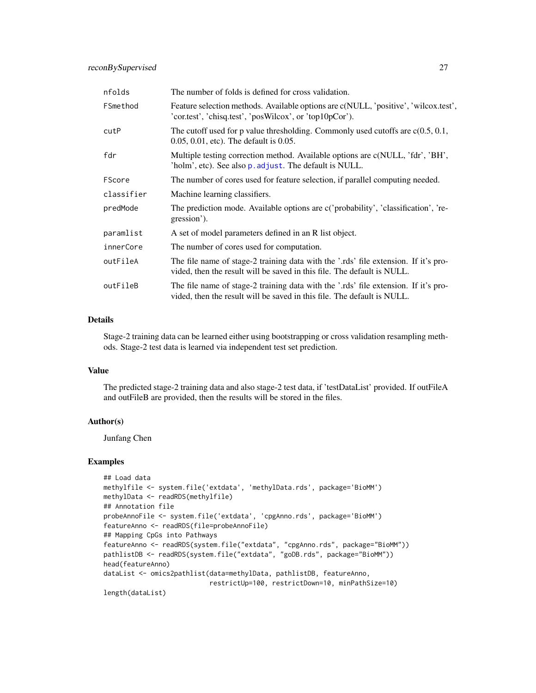<span id="page-26-0"></span>

| nfolds     | The number of folds is defined for cross validation.                                                                                                           |
|------------|----------------------------------------------------------------------------------------------------------------------------------------------------------------|
| FSmethod   | Feature selection methods. Available options are c(NULL, 'positive', 'wilcox.test',<br>'cor.test', 'chisq.test', 'posWilcox', or 'top10pCor').                 |
| cutP       | The cutoff used for p value thresholding. Commonly used cutoffs are $c(0.5, 0.1, 0.1)$<br>$0.05, 0.01$ , etc). The default is $0.05$ .                         |
| fdr        | Multiple testing correction method. Available options are c(NULL, 'fdr', 'BH',<br>'holm', etc). See also p. adjust. The default is NULL.                       |
| FScore     | The number of cores used for feature selection, if parallel computing needed.                                                                                  |
| classifier | Machine learning classifiers.                                                                                                                                  |
| predMode   | The prediction mode. Available options are c('probability', 'classification', 're-<br>gression').                                                              |
| paramlist  | A set of model parameters defined in an R list object.                                                                                                         |
| innerCore  | The number of cores used for computation.                                                                                                                      |
| outFileA   | The file name of stage-2 training data with the '.rds' file extension. If it's pro-<br>vided, then the result will be saved in this file. The default is NULL. |
| outFileB   | The file name of stage-2 training data with the '.rds' file extension. If it's pro-<br>vided, then the result will be saved in this file. The default is NULL. |

# Details

Stage-2 training data can be learned either using bootstrapping or cross validation resampling methods. Stage-2 test data is learned via independent test set prediction.

# Value

The predicted stage-2 training data and also stage-2 test data, if 'testDataList' provided. If outFileA and outFileB are provided, then the results will be stored in the files.

#### Author(s)

Junfang Chen

```
## Load data
methylfile <- system.file('extdata', 'methylData.rds', package='BioMM')
methylData <- readRDS(methylfile)
## Annotation file
probeAnnoFile <- system.file('extdata', 'cpgAnno.rds', package='BioMM')
featureAnno <- readRDS(file=probeAnnoFile)
## Mapping CpGs into Pathways
featureAnno <- readRDS(system.file("extdata", "cpgAnno.rds", package="BioMM"))
pathlistDB <- readRDS(system.file("extdata", "goDB.rds", package="BioMM"))
head(featureAnno)
dataList <- omics2pathlist(data=methylData, pathlistDB, featureAnno,
                           restrictUp=100, restrictDown=10, minPathSize=10)
length(dataList)
```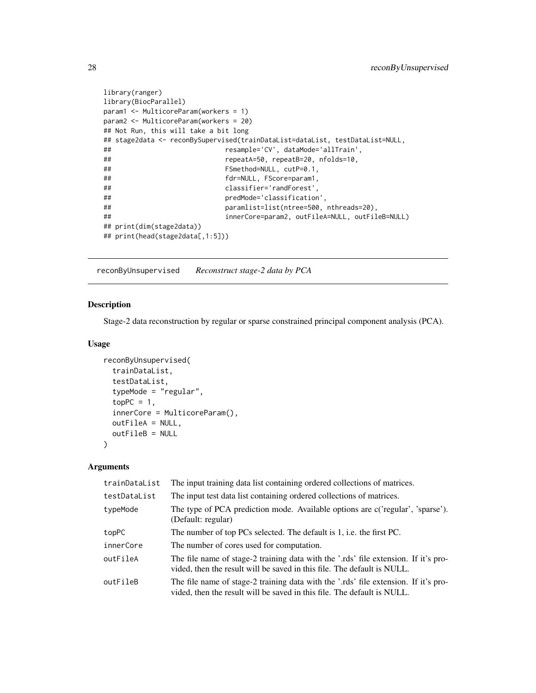```
library(ranger)
library(BiocParallel)
param1 <- MulticoreParam(workers = 1)
param2 <- MulticoreParam(workers = 20)
## Not Run, this will take a bit long
## stage2data <- reconBySupervised(trainDataList=dataList, testDataList=NULL,
## resample='CV', dataMode='allTrain',
## repeatA=50, repeatB=20, nfolds=10,
## FSmethod=NULL, cutP=0.1,
## fdr=NULL, FScore=param1,
## classifier='randForest',
## predMode='classification',
## paramlist=list(ntree=500, nthreads=20),
## innerCore=param2, outFileA=NULL, outFileB=NULL)
## print(dim(stage2data))
## print(head(stage2data[,1:5]))
```
<span id="page-27-1"></span>reconByUnsupervised *Reconstruct stage-2 data by PCA*

# Description

Stage-2 data reconstruction by regular or sparse constrained principal component analysis (PCA).

#### Usage

```
reconByUnsupervised(
  trainDataList,
  testDataList,
  typeMode = "regular",
  topPC = 1,
  innerCore = MulticoreParam(),
 outFileA = NULL,
 outFileB = NULL
)
```

| trainDataList | The input training data list containing ordered collections of matrices.                                                                                       |
|---------------|----------------------------------------------------------------------------------------------------------------------------------------------------------------|
| testDataList  | The input test data list containing ordered collections of matrices.                                                                                           |
| typeMode      | The type of PCA prediction mode. Available options are c('regular', 'sparse').<br>(Default: regular)                                                           |
| topPC         | The number of top PCs selected. The default is 1, i.e. the first PC.                                                                                           |
| innerCore     | The number of cores used for computation.                                                                                                                      |
| outFileA      | The file name of stage-2 training data with the '.rds' file extension. If it's pro-<br>vided, then the result will be saved in this file. The default is NULL. |
| outFileB      | The file name of stage-2 training data with the '.rds' file extension. If it's pro-<br>vided, then the result will be saved in this file. The default is NULL. |

<span id="page-27-0"></span>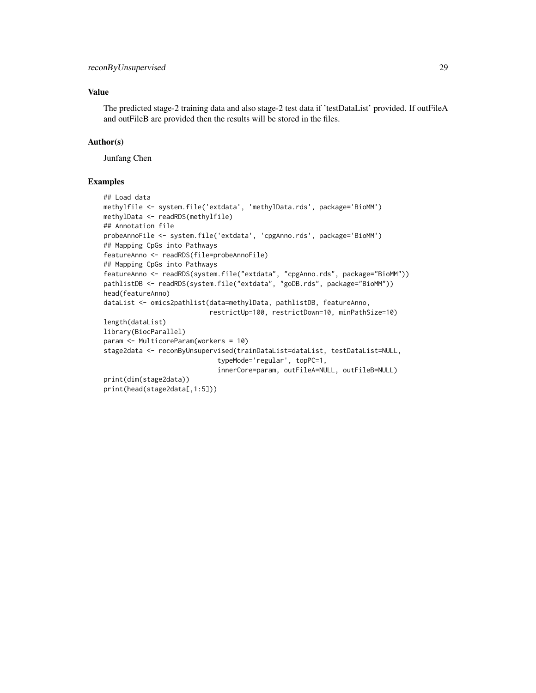# Value

The predicted stage-2 training data and also stage-2 test data if 'testDataList' provided. If outFileA and outFileB are provided then the results will be stored in the files.

# Author(s)

Junfang Chen

```
## Load data
methylfile <- system.file('extdata', 'methylData.rds', package='BioMM')
methylData <- readRDS(methylfile)
## Annotation file
probeAnnoFile <- system.file('extdata', 'cpgAnno.rds', package='BioMM')
## Mapping CpGs into Pathways
featureAnno <- readRDS(file=probeAnnoFile)
## Mapping CpGs into Pathways
featureAnno <- readRDS(system.file("extdata", "cpgAnno.rds", package="BioMM"))
pathlistDB <- readRDS(system.file("extdata", "goDB.rds", package="BioMM"))
head(featureAnno)
dataList <- omics2pathlist(data=methylData, pathlistDB, featureAnno,
                           restrictUp=100, restrictDown=10, minPathSize=10)
length(dataList)
library(BiocParallel)
param <- MulticoreParam(workers = 10)
stage2data <- reconByUnsupervised(trainDataList=dataList, testDataList=NULL,
                             typeMode='regular', topPC=1,
                             innerCore=param, outFileA=NULL, outFileB=NULL)
print(dim(stage2data))
print(head(stage2data[,1:5]))
```